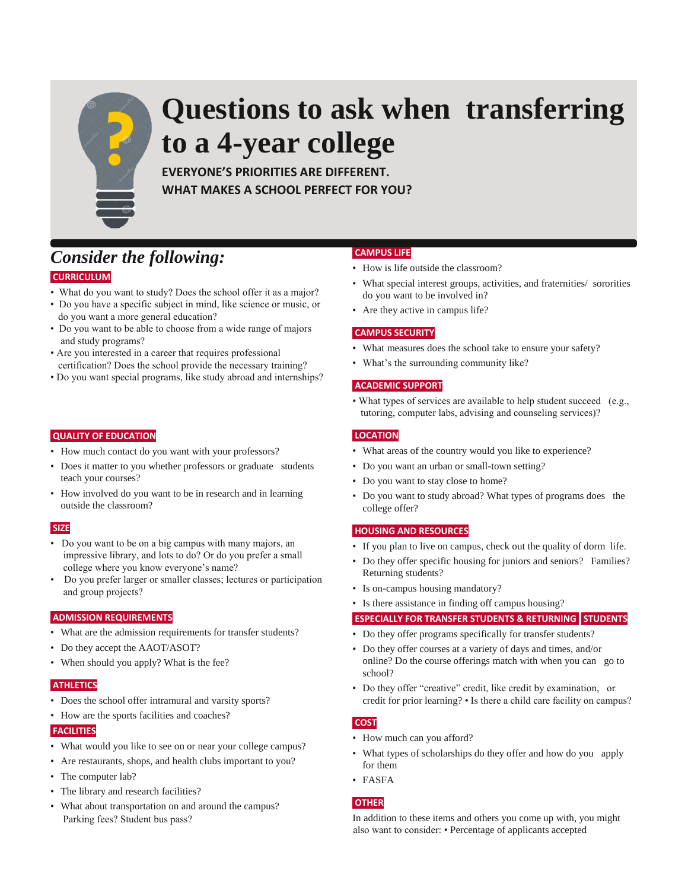

# **Questions to ask when transferring to a 4-year college**

**EVERYONE'S PRIORITIES ARE DIFFERENT. WHAT MAKES A SCHOOL PERFECT FOR YOU?**

# *Consider the following:* **CURRICULUM**

- What do you want to study? Does the school offer it as a major?
- Do you have a specific subject in mind, like science or music, or do you want a more general education?
- Do you want to be able to choose from a wide range of majors and study programs?
- Are you interested in a career that requires professional certification? Does the school provide the necessary training?
- Do you want special programs, like study abroad and internships?

#### **QUALITY OF EDUCATION**

- How much contact do you want with your professors?
- Does it matter to you whether professors or graduate students teach your courses?
- How involved do you want to be in research and in learning outside the classroom?

# **SIZE**

- Do you want to be on a big campus with many majors, an impressive library, and lots to do? Or do you prefer a small college where you know everyone's name?
- Do you prefer larger or smaller classes; lectures or participation and group projects?

# **ADMISSION REQUIREMENTS**

- What are the admission requirements for transfer students?
- Do they accept the AAOT/ASOT?
- When should you apply? What is the fee?

#### **ATHLETICS**

- Does the school offer intramural and varsity sports?
- How are the sports facilities and coaches?

#### **FACILITIES**

- What would you like to see on or near your college campus?
- Are restaurants, shops, and health clubs important to you?
- The computer lab?
- The library and research facilities?
- What about transportation on and around the campus? Parking fees? Student bus pass?

## **CAMPUS LIFE**

- How is life outside the classroom?
- What special interest groups, activities, and fraternities/ sororities do you want to be involved in?
- Are they active in campus life?

## **CAMPUS SECURITY**

- What measures does the school take to ensure your safety?
- What's the surrounding community like?

## **ACADEMIC SUPPORT**

• What types of services are available to help student succeed (e.g., tutoring, computer labs, advising and counseling services)?

# **LOCATION**

- What areas of the country would you like to experience?
- Do you want an urban or small-town setting?
- Do you want to stay close to home?
- Do you want to study abroad? What types of programs does the college offer?

#### **HOUSING AND RESOURCES**

- If you plan to live on campus, check out the quality of dorm life.
- Do they offer specific housing for juniors and seniors? Families? Returning students?
- Is on-campus housing mandatory?
- Is there assistance in finding off campus housing?

#### **ESPECIALLY FOR TRANSFER STUDENTS & RETURNING STUDENTS**

- Do they offer programs specifically for transfer students?
- Do they offer courses at a variety of days and times, and/or online? Do the course offerings match with when you can go to school?
- Do they offer "creative" credit, like credit by examination, or credit for prior learning? • Is there a child care facility on campus?

# **COST**

- How much can you afford?
- What types of scholarships do they offer and how do you apply for them
- FASFA

# **OTHER**

In addition to these items and others you come up with, you might also want to consider: • Percentage of applicants accepted